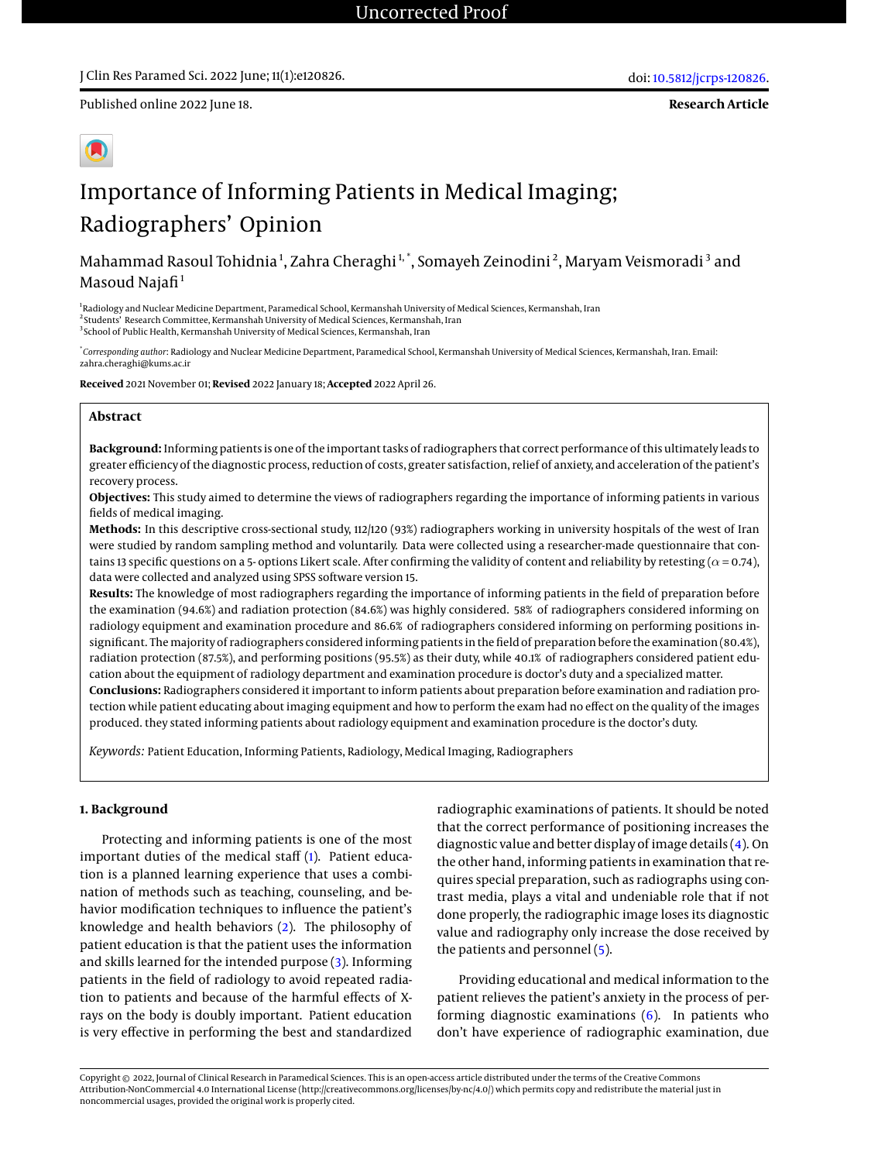Published online 2022 June 18.

**Research Article**



# Importance of Informing Patients in Medical Imaging; Radiographers' Opinion

Mahammad Rasoul Tohidnia<sup>1</sup>, Zahra Cheraghi<sup>1,\*</sup>, Somayeh Zeinodini<sup>2</sup>, Maryam Veismoradi<sup>3</sup> and Masoud Naja $fi<sup>1</sup>$ 

<sup>1</sup>Radiology and Nuclear Medicine Department, Paramedical School, Kermanshah University of Medical Sciences, Kermanshah, Iran <sup>2</sup> Students' Research Committee, Kermanshah University of Medical Sciences, Kermanshah, Iran <sup>3</sup> School of Public Health, Kermanshah University of Medical Sciences, Kermanshah, Iran

\* *Corresponding author*: Radiology and Nuclear Medicine Department, Paramedical School, Kermanshah University of Medical Sciences, Kermanshah, Iran. Email: zahra.cheraghi@kums.ac.ir

**Received** 2021 November 01; **Revised** 2022 January 18; **Accepted** 2022 April 26.

# **Abstract**

**Background:** Informing patients is one of the important tasks of radiographers that correct performance of this ultimately leads to greater efficiency of the diagnostic process, reduction of costs, greater satisfaction, relief of anxiety, and acceleration of the patient's recovery process.

**Objectives:** This study aimed to determine the views of radiographers regarding the importance of informing patients in various fields of medical imaging.

**Methods:** In this descriptive cross-sectional study, 112/120 (93%) radiographers working in university hospitals of the west of Iran were studied by random sampling method and voluntarily. Data were collected using a researcher-made questionnaire that contains 13 specific questions on a 5- options Likert scale. After confirming the validity of content and reliability by retesting ( $\alpha$  = 0.74), data were collected and analyzed using SPSS software version 15.

**Results:** The knowledge of most radiographers regarding the importance of informing patients in the field of preparation before the examination (94.6%) and radiation protection (84.6%) was highly considered. 58% of radiographers considered informing on radiology equipment and examination procedure and 86.6% of radiographers considered informing on performing positions insignificant. Themajority of radiographers considered informing patients in the field of preparation before the examination (80.4%), radiation protection (87.5%), and performing positions (95.5%) as their duty, while 40.1% of radiographers considered patient education about the equipment of radiology department and examination procedure is doctor's duty and a specialized matter.

**Conclusions:** Radiographers considered it important to inform patients about preparation before examination and radiation protection while patient educating about imaging equipment and how to perform the exam had no effect on the quality of the images produced. they stated informing patients about radiology equipment and examination procedure is the doctor's duty.

*Keywords:* Patient Education, Informing Patients, Radiology, Medical Imaging, Radiographers

# **1. Background**

Protecting and informing patients is one of the most important duties of the medical staff [\(1\)](#page-5-0). Patient education is a planned learning experience that uses a combination of methods such as teaching, counseling, and behavior modification techniques to influence the patient's knowledge and health behaviors [\(2\)](#page-5-1). The philosophy of patient education is that the patient uses the information and skills learned for the intended purpose [\(3\)](#page-5-2). Informing patients in the field of radiology to avoid repeated radiation to patients and because of the harmful effects of Xrays on the body is doubly important. Patient education is very effective in performing the best and standardized

radiographic examinations of patients. It should be noted that the correct performance of positioning increases the diagnostic value and better display of image details [\(4\)](#page-5-3). On the other hand, informing patients in examination that requires special preparation, such as radiographs using contrast media, plays a vital and undeniable role that if not done properly, the radiographic image loses its diagnostic value and radiography only increase the dose received by the patients and personnel [\(5\)](#page-5-4).

Providing educational and medical information to the patient relieves the patient's anxiety in the process of performing diagnostic examinations [\(6\)](#page-5-5). In patients who don't have experience of radiographic examination, due

Copyright © 2022, Journal of Clinical Research in Paramedical Sciences. This is an open-access article distributed under the terms of the Creative Commons Attribution-NonCommercial 4.0 International License (http://creativecommons.org/licenses/by-nc/4.0/) which permits copy and redistribute the material just in noncommercial usages, provided the original work is properly cited.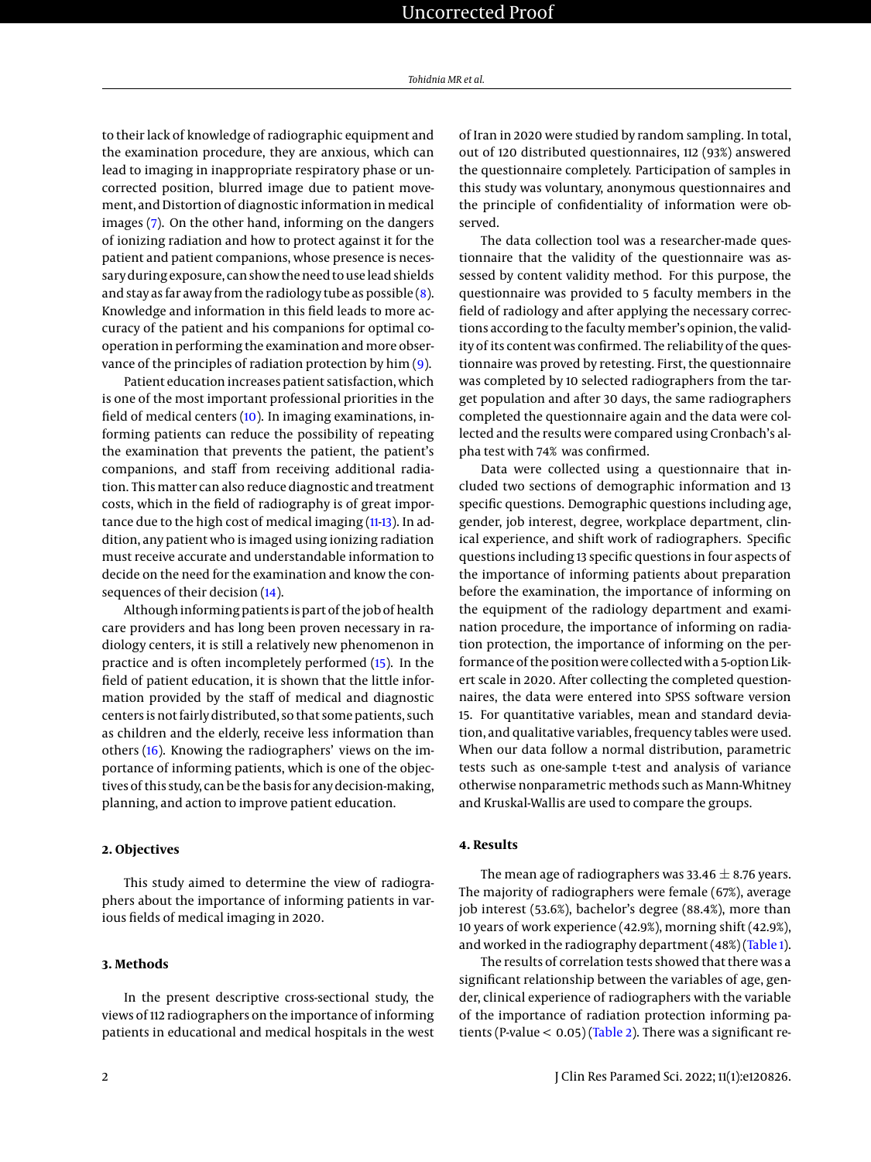to their lack of knowledge of radiographic equipment and the examination procedure, they are anxious, which can lead to imaging in inappropriate respiratory phase or uncorrected position, blurred image due to patient movement, and Distortion of diagnostic information in medical images [\(7\)](#page-5-6). On the other hand, informing on the dangers of ionizing radiation and how to protect against it for the patient and patient companions, whose presence is necessary during exposure, can show the need to use lead shields and stay as far away from the radiology tube as possible  $(8)$ . Knowledge and information in this field leads to more accuracy of the patient and his companions for optimal cooperation in performing the examination and more observance of the principles of radiation protection by him [\(9\)](#page-5-8).

Patient education increases patient satisfaction, which is one of the most important professional priorities in the field of medical centers [\(10\)](#page-5-9). In imaging examinations, informing patients can reduce the possibility of repeating the examination that prevents the patient, the patient's companions, and staff from receiving additional radiation. This matter can also reduce diagnostic and treatment costs, which in the field of radiography is of great impor-tance due to the high cost of medical imaging [\(11-](#page-5-10)[13\)](#page-5-11). In addition, any patient who is imaged using ionizing radiation must receive accurate and understandable information to decide on the need for the examination and know the consequences of their decision [\(14\)](#page-5-12).

Although informing patients is part of thejob of health care providers and has long been proven necessary in radiology centers, it is still a relatively new phenomenon in practice and is often incompletely performed [\(15\)](#page-5-13). In the field of patient education, it is shown that the little information provided by the staff of medical and diagnostic centers is not fairly distributed, so that some patients, such as children and the elderly, receive less information than others [\(16\)](#page-5-14). Knowing the radiographers' views on the importance of informing patients, which is one of the objectives of this study, can be the basis for any decision-making, planning, and action to improve patient education.

## **2. Objectives**

This study aimed to determine the view of radiographers about the importance of informing patients in various fields of medical imaging in 2020.

# **3. Methods**

In the present descriptive cross-sectional study, the views of 112 radiographers on the importance of informing patients in educational and medical hospitals in the west

of Iran in 2020 were studied by random sampling. In total, out of 120 distributed questionnaires, 112 (93%) answered the questionnaire completely. Participation of samples in this study was voluntary, anonymous questionnaires and the principle of confidentiality of information were observed.

The data collection tool was a researcher-made questionnaire that the validity of the questionnaire was assessed by content validity method. For this purpose, the questionnaire was provided to 5 faculty members in the field of radiology and after applying the necessary corrections according to the faculty member's opinion, the validity of its content was confirmed. The reliability of the questionnaire was proved by retesting. First, the questionnaire was completed by 10 selected radiographers from the target population and after 30 days, the same radiographers completed the questionnaire again and the data were collected and the results were compared using Cronbach's alpha test with 74% was confirmed.

Data were collected using a questionnaire that included two sections of demographic information and 13 specific questions. Demographic questions including age, gender, job interest, degree, workplace department, clinical experience, and shift work of radiographers. Specific questions including 13 specific questions in four aspects of the importance of informing patients about preparation before the examination, the importance of informing on the equipment of the radiology department and examination procedure, the importance of informing on radiation protection, the importance of informing on the performance of the position were collected with a 5-option Likert scale in 2020. After collecting the completed questionnaires, the data were entered into SPSS software version 15. For quantitative variables, mean and standard deviation, and qualitative variables, frequency tables were used. When our data follow a normal distribution, parametric tests such as one-sample t-test and analysis of variance otherwise nonparametric methods such as Mann-Whitney and Kruskal-Wallis are used to compare the groups.

## **4. Results**

The mean age of radiographers was 33.46  $\pm$  8.76 years. The majority of radiographers were female (67%), average job interest (53.6%), bachelor's degree (88.4%), more than 10 years of work experience (42.9%), morning shift (42.9%), and worked in the radiography department (48%) [\(Table 1\)](#page-2-0).

The results of correlation tests showed that there was a significant relationship between the variables of age, gender, clinical experience of radiographers with the variable of the importance of radiation protection informing patients (P-value  $< 0.05$ ) [\(Table 2\)](#page-3-0). There was a significant re-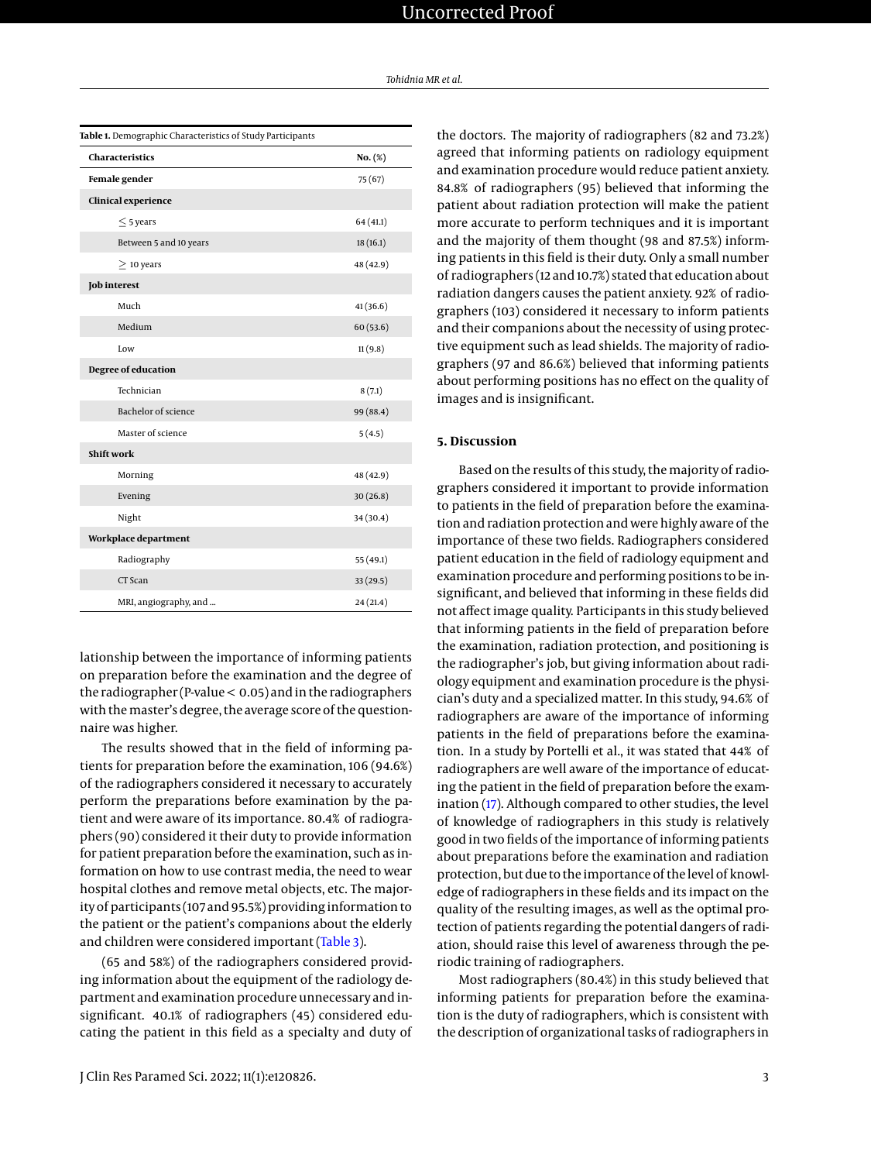<span id="page-2-0"></span>

| Table 1. Demographic Characteristics of Study Participants |           |  |  |  |  |
|------------------------------------------------------------|-----------|--|--|--|--|
| <b>Characteristics</b>                                     | No. (%)   |  |  |  |  |
| Female gender                                              | 75 (67)   |  |  |  |  |
| <b>Clinical experience</b>                                 |           |  |  |  |  |
| $<$ 5 years                                                | 64(41.1)  |  |  |  |  |
| Between 5 and 10 years                                     | 18(16.1)  |  |  |  |  |
| $\geq$ 10 years                                            | 48 (42.9) |  |  |  |  |
| Job interest                                               |           |  |  |  |  |
| Much                                                       | 41(36.6)  |  |  |  |  |
| Medium                                                     | 60(53.6)  |  |  |  |  |
| Low                                                        | 11(9.8)   |  |  |  |  |
| <b>Degree of education</b>                                 |           |  |  |  |  |
| Technician                                                 | 8(7.1)    |  |  |  |  |
| Bachelor of science                                        | 99 (88.4) |  |  |  |  |
| Master of science                                          | 5(4.5)    |  |  |  |  |
| <b>Shift work</b>                                          |           |  |  |  |  |
| Morning                                                    | 48 (42.9) |  |  |  |  |
| Evening                                                    | 30(26.8)  |  |  |  |  |
| Night                                                      | 34 (30.4) |  |  |  |  |
| Workplace department                                       |           |  |  |  |  |
| Radiography                                                | 55 (49.1) |  |  |  |  |
| CT Scan                                                    | 33(29.5)  |  |  |  |  |
| MRI, angiography, and                                      | 24(21.4)  |  |  |  |  |

lationship between the importance of informing patients on preparation before the examination and the degree of the radiographer (P-value < 0.05) and in the radiographers with themaster's degree, the average score of the questionnaire was higher.

The results showed that in the field of informing patients for preparation before the examination, 106 (94.6%) of the radiographers considered it necessary to accurately perform the preparations before examination by the patient and were aware of its importance. 80.4% of radiographers (90) considered it their duty to provide information for patient preparation before the examination, such as information on how to use contrast media, the need to wear hospital clothes and remove metal objects, etc. The majority of participants (107 and 95.5%) providing information to the patient or the patient's companions about the elderly and children were considered important [\(Table 3\)](#page-3-1).

(65 and 58%) of the radiographers considered providing information about the equipment of the radiology department and examination procedure unnecessary and insignificant. 40.1% of radiographers (45) considered educating the patient in this field as a specialty and duty of

the doctors. The majority of radiographers (82 and 73.2%) agreed that informing patients on radiology equipment and examination procedure would reduce patient anxiety. 84.8% of radiographers (95) believed that informing the patient about radiation protection will make the patient more accurate to perform techniques and it is important and the majority of them thought (98 and 87.5%) informing patients in this field is their duty. Only a small number of radiographers (12 and 10.7%) stated that education about radiation dangers causes the patient anxiety. 92% of radiographers (103) considered it necessary to inform patients and their companions about the necessity of using protective equipment such as lead shields. The majority of radiographers (97 and 86.6%) believed that informing patients about performing positions has no effect on the quality of images and is insignificant.

# **5. Discussion**

Based on the results of this study, the majority of radiographers considered it important to provide information to patients in the field of preparation before the examination and radiation protection and were highly aware of the importance of these two fields. Radiographers considered patient education in the field of radiology equipment and examination procedure and performing positions to be insignificant, and believed that informing in these fields did not affect image quality. Participants in this study believed that informing patients in the field of preparation before the examination, radiation protection, and positioning is the radiographer's job, but giving information about radiology equipment and examination procedure is the physician's duty and a specialized matter. In this study, 94.6% of radiographers are aware of the importance of informing patients in the field of preparations before the examination. In a study by Portelli et al., it was stated that 44% of radiographers are well aware of the importance of educating the patient in the field of preparation before the examination [\(17\)](#page-5-15). Although compared to other studies, the level of knowledge of radiographers in this study is relatively good in two fields of the importance of informing patients about preparations before the examination and radiation protection, but due to the importance of the level of knowledge of radiographers in these fields and its impact on the quality of the resulting images, as well as the optimal protection of patients regarding the potential dangers of radiation, should raise this level of awareness through the periodic training of radiographers.

Most radiographers (80.4%) in this study believed that informing patients for preparation before the examination is the duty of radiographers, which is consistent with the description of organizational tasks of radiographers in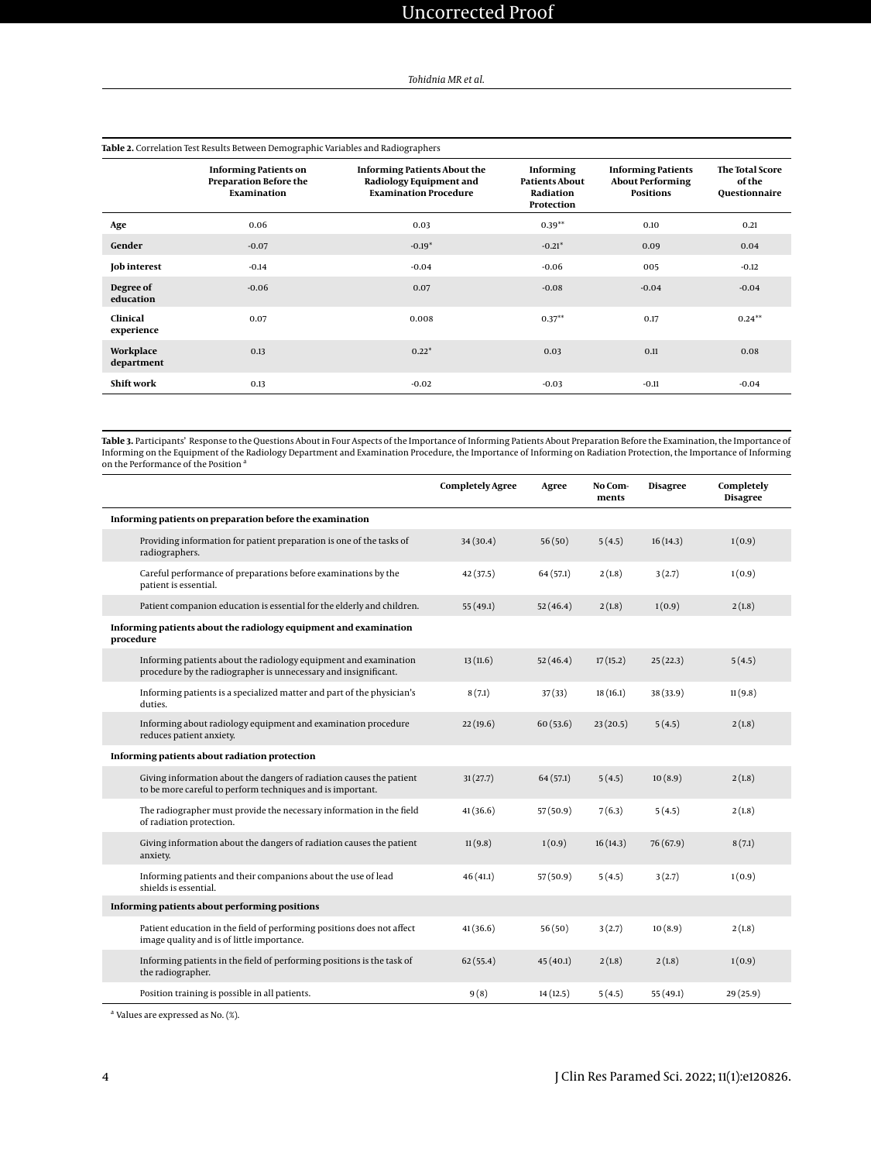<span id="page-3-0"></span>

| Table 2. Correlation Test Results Between Demographic Variables and Radiographers |                                                                              |                                                                                                |                                                        |                                                                          |                                                          |  |  |  |
|-----------------------------------------------------------------------------------|------------------------------------------------------------------------------|------------------------------------------------------------------------------------------------|--------------------------------------------------------|--------------------------------------------------------------------------|----------------------------------------------------------|--|--|--|
|                                                                                   | <b>Informing Patients on</b><br><b>Preparation Before the</b><br>Examination | <b>Informing Patients About the</b><br>Radiology Equipment and<br><b>Examination Procedure</b> | Informing<br>Patients About<br>Radiation<br>Protection | <b>Informing Patients</b><br><b>About Performing</b><br><b>Positions</b> | <b>The Total Score</b><br>of the<br><b>Questionnaire</b> |  |  |  |
| Age                                                                               | 0.06                                                                         | 0.03                                                                                           | $0.39**$                                               | 0.10                                                                     | 0.21                                                     |  |  |  |
| Gender                                                                            | $-0.07$                                                                      | $-0.19*$                                                                                       | $-0.21*$                                               | 0.09                                                                     | 0.04                                                     |  |  |  |
| <b>Job interest</b>                                                               | $-0.14$                                                                      | $-0.04$                                                                                        | $-0.06$                                                | 005                                                                      | $-0.12$                                                  |  |  |  |
| Degree of<br>education                                                            | $-0.06$                                                                      | 0.07                                                                                           | $-0.08$                                                | $-0.04$                                                                  | $-0.04$                                                  |  |  |  |
| Clinical<br>experience                                                            | 0.07                                                                         | 0.008                                                                                          | $0.37**$                                               | 0.17                                                                     | $0.24***$                                                |  |  |  |
| Workplace<br>department                                                           | 0.13                                                                         | $0.22*$                                                                                        | 0.03                                                   | 0.11                                                                     | 0.08                                                     |  |  |  |
| Shift work                                                                        | 0.13                                                                         | $-0.02$                                                                                        | $-0.03$                                                | $-0.11$                                                                  | $-0.04$                                                  |  |  |  |

<span id="page-3-1"></span>**Table 3.** Participants' Response to the Questions About in Four Aspects of the Importance of Informing Patients About Preparation Before the Examination, the Importance of Informing on the Equipment of the Radiology Department and Examination Procedure, the Importance of Informing on Radiation Protection, the Importance of Informing on the Performance of the Position <sup>a</sup>

|                                                                                                                                     | <b>Completely Agree</b> | Agree    | No Com-<br>ments | <b>Disagree</b> | Completely<br><b>Disagree</b> |
|-------------------------------------------------------------------------------------------------------------------------------------|-------------------------|----------|------------------|-----------------|-------------------------------|
| Informing patients on preparation before the examination                                                                            |                         |          |                  |                 |                               |
| Providing information for patient preparation is one of the tasks of<br>radiographers.                                              | 34(30.4)                | 56(50)   | 5(4.5)           | 16(14.3)        | 1(0.9)                        |
| Careful performance of preparations before examinations by the<br>patient is essential.                                             | 42 (37.5)               | 64(57.1) | 2(1.8)           | 3(2.7)          | 1(0.9)                        |
| Patient companion education is essential for the elderly and children.                                                              | 55(49.1)                | 52(46.4) | 2(1.8)           | 1(0.9)          | 2(1.8)                        |
| Informing patients about the radiology equipment and examination<br>procedure                                                       |                         |          |                  |                 |                               |
| Informing patients about the radiology equipment and examination<br>procedure by the radiographer is unnecessary and insignificant. | 13(11.6)                | 52(46.4) | 17(15.2)         | 25(22.3)        | 5(4.5)                        |
| Informing patients is a specialized matter and part of the physician's<br>duties.                                                   | 8(7.1)                  | 37(33)   | 18(16.1)         | 38 (33.9)       | 11(9.8)                       |
| Informing about radiology equipment and examination procedure<br>reduces patient anxiety.                                           | 22(19.6)                | 60(53.6) | 23(20.5)         | 5(4.5)          | 2(1.8)                        |
| Informing patients about radiation protection                                                                                       |                         |          |                  |                 |                               |
| Giving information about the dangers of radiation causes the patient<br>to be more careful to perform techniques and is important.  | 31(27.7)                | 64(57.1) | 5(4.5)           | 10(8.9)         | 2(1.8)                        |
| The radiographer must provide the necessary information in the field<br>of radiation protection.                                    | 41 (36.6)               | 57(50.9) | 7(6.3)           | 5(4.5)          | 2(1.8)                        |
| Giving information about the dangers of radiation causes the patient<br>anxiety.                                                    | 11(9.8)                 | 1(0.9)   | 16(14.3)         | 76 (67.9)       | 8(7.1)                        |
| Informing patients and their companions about the use of lead<br>shields is essential.                                              | 46(41.1)                | 57(50.9) | 5(4.5)           | 3(2.7)          | 1(0.9)                        |
| Informing patients about performing positions                                                                                       |                         |          |                  |                 |                               |
| Patient education in the field of performing positions does not affect<br>image quality and is of little importance.                | 41(36.6)                | 56(50)   | 3(2.7)           | 10(8.9)         | 2(1.8)                        |
| Informing patients in the field of performing positions is the task of<br>the radiographer.                                         | 62(55.4)                | 45(40.1) | 2(1.8)           | 2(1.8)          | 1(0.9)                        |
| Position training is possible in all patients.                                                                                      | 9(8)                    | 14(12.5) | 5(4.5)           | 55 (49.1)       | 29(25.9)                      |

<sup>a</sup> Values are expressed as No. (%).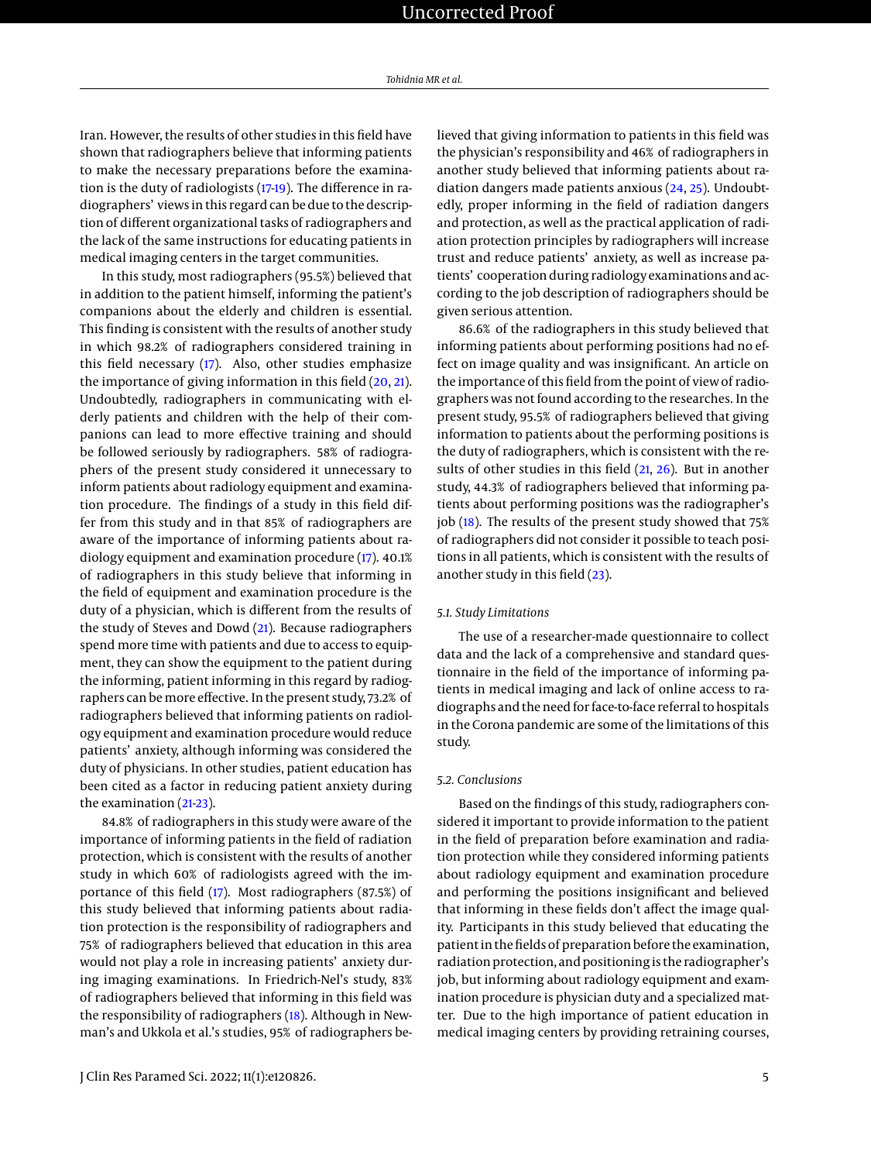Iran. However, the results of other studies in this field have shown that radiographers believe that informing patients to make the necessary preparations before the examination is the duty of radiologists [\(17-](#page-5-15)[19\)](#page-5-16). The difference in radiographers' views in this regard can be due to the description of different organizational tasks of radiographers and the lack of the same instructions for educating patients in medical imaging centers in the target communities.

In this study, most radiographers (95.5%) believed that in addition to the patient himself, informing the patient's companions about the elderly and children is essential. This finding is consistent with the results of another study in which 98.2% of radiographers considered training in this field necessary [\(17\)](#page-5-15). Also, other studies emphasize the importance of giving information in this field [\(20,](#page-5-17) [21\)](#page-5-18). Undoubtedly, radiographers in communicating with elderly patients and children with the help of their companions can lead to more effective training and should be followed seriously by radiographers. 58% of radiographers of the present study considered it unnecessary to inform patients about radiology equipment and examination procedure. The findings of a study in this field differ from this study and in that 85% of radiographers are aware of the importance of informing patients about radiology equipment and examination procedure [\(17\)](#page-5-15). 40.1% of radiographers in this study believe that informing in the field of equipment and examination procedure is the duty of a physician, which is different from the results of the study of Steves and Dowd [\(21\)](#page-5-18). Because radiographers spend more time with patients and due to access to equipment, they can show the equipment to the patient during the informing, patient informing in this regard by radiographers can bemore effective. In the present study, 73.2% of radiographers believed that informing patients on radiology equipment and examination procedure would reduce patients' anxiety, although informing was considered the duty of physicians. In other studies, patient education has been cited as a factor in reducing patient anxiety during the examination [\(21](#page-5-18)[-23\)](#page-5-19).

84.8% of radiographers in this study were aware of the importance of informing patients in the field of radiation protection, which is consistent with the results of another study in which 60% of radiologists agreed with the importance of this field [\(17\)](#page-5-15). Most radiographers (87.5%) of this study believed that informing patients about radiation protection is the responsibility of radiographers and 75% of radiographers believed that education in this area would not play a role in increasing patients' anxiety during imaging examinations. In Friedrich-Nel's study, 83% of radiographers believed that informing in this field was the responsibility of radiographers [\(18\)](#page-5-20). Although in Newman's and Ukkola et al.'s studies, 95% of radiographers believed that giving information to patients in this field was the physician's responsibility and 46% of radiographers in another study believed that informing patients about radiation dangers made patients anxious [\(24,](#page-5-21) [25\)](#page-5-22). Undoubtedly, proper informing in the field of radiation dangers and protection, as well as the practical application of radiation protection principles by radiographers will increase trust and reduce patients' anxiety, as well as increase patients' cooperation during radiology examinations and according to the job description of radiographers should be given serious attention.

86.6% of the radiographers in this study believed that informing patients about performing positions had no effect on image quality and was insignificant. An article on the importance of this field from the point of view of radiographers was not found according to the researches. In the present study, 95.5% of radiographers believed that giving information to patients about the performing positions is the duty of radiographers, which is consistent with the results of other studies in this field [\(21,](#page-5-18) [26\)](#page-5-23). But in another study, 44.3% of radiographers believed that informing patients about performing positions was the radiographer's job [\(18\)](#page-5-20). The results of the present study showed that 75% of radiographers did not consider it possible to teach positions in all patients, which is consistent with the results of another study in this field [\(23\)](#page-5-19).

#### *5.1. Study Limitations*

The use of a researcher-made questionnaire to collect data and the lack of a comprehensive and standard questionnaire in the field of the importance of informing patients in medical imaging and lack of online access to radiographs and the need for face-to-face referral to hospitals in the Corona pandemic are some of the limitations of this study.

#### *5.2. Conclusions*

Based on the findings of this study, radiographers considered it important to provide information to the patient in the field of preparation before examination and radiation protection while they considered informing patients about radiology equipment and examination procedure and performing the positions insignificant and believed that informing in these fields don't affect the image quality. Participants in this study believed that educating the patient in the fields of preparation before the examination, radiation protection, and positioning is the radiographer's job, but informing about radiology equipment and examination procedure is physician duty and a specialized matter. Due to the high importance of patient education in medical imaging centers by providing retraining courses,